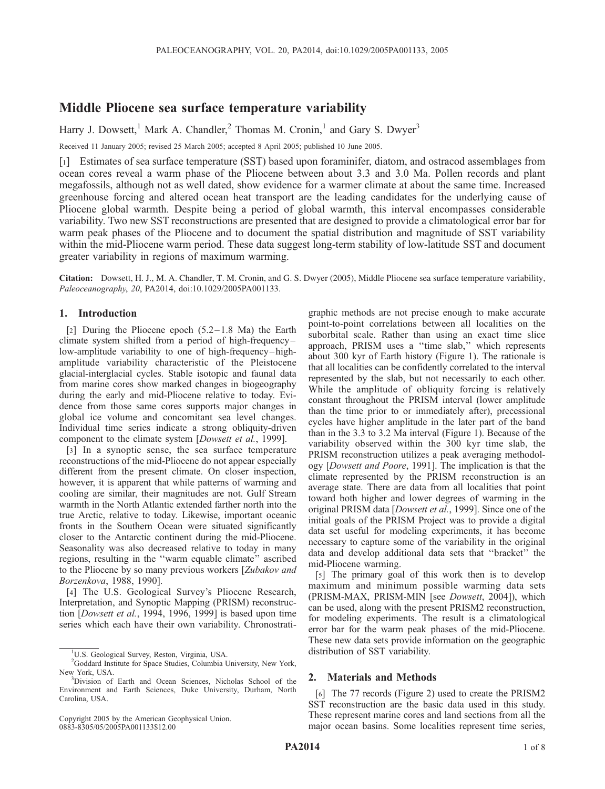# Middle Pliocene sea surface temperature variability

Harry J. Dowsett,<sup>1</sup> Mark A. Chandler,<sup>2</sup> Thomas M. Cronin,<sup>1</sup> and Gary S. Dwyer<sup>3</sup>

Received 11 January 2005; revised 25 March 2005; accepted 8 April 2005; published 10 June 2005.

[1] Estimates of sea surface temperature (SST) based upon foraminifer, diatom, and ostracod assemblages from ocean cores reveal a warm phase of the Pliocene between about 3.3 and 3.0 Ma. Pollen records and plant megafossils, although not as well dated, show evidence for a warmer climate at about the same time. Increased greenhouse forcing and altered ocean heat transport are the leading candidates for the underlying cause of Pliocene global warmth. Despite being a period of global warmth, this interval encompasses considerable variability. Two new SST reconstructions are presented that are designed to provide a climatological error bar for warm peak phases of the Pliocene and to document the spatial distribution and magnitude of SST variability within the mid-Pliocene warm period. These data suggest long-term stability of low-latitude SST and document greater variability in regions of maximum warming.

Citation: Dowsett, H. J., M. A. Chandler, T. M. Cronin, and G. S. Dwyer (2005), Middle Pliocene sea surface temperature variability, Paleoceanography, 20, PA2014, doi:10.1029/2005PA001133.

### 1. Introduction

[2] During the Pliocene epoch  $(5.2-1.8 \text{ Ma})$  the Earth climate system shifted from a period of high-frequency – low-amplitude variability to one of high-frequency-highamplitude variability characteristic of the Pleistocene glacial-interglacial cycles. Stable isotopic and faunal data from marine cores show marked changes in biogeography during the early and mid-Pliocene relative to today. Evidence from those same cores supports major changes in global ice volume and concomitant sea level changes. Individual time series indicate a strong obliquity-driven component to the climate system [Dowsett et al., 1999].

[3] In a synoptic sense, the sea surface temperature reconstructions of the mid-Pliocene do not appear especially different from the present climate. On closer inspection, however, it is apparent that while patterns of warming and cooling are similar, their magnitudes are not. Gulf Stream warmth in the North Atlantic extended farther north into the true Arctic, relative to today. Likewise, important oceanic fronts in the Southern Ocean were situated significantly closer to the Antarctic continent during the mid-Pliocene. Seasonality was also decreased relative to today in many regions, resulting in the ''warm equable climate'' ascribed to the Pliocene by so many previous workers [Zubakov and Borzenkova, 1988, 1990].

[4] The U.S. Geological Survey's Pliocene Research, Interpretation, and Synoptic Mapping (PRISM) reconstruction [Dowsett et al., 1994, 1996, 1999] is based upon time series which each have their own variability. Chronostrati-

Copyright 2005 by the American Geophysical Union. 0883-8305/05/2005PA001133\$12.00

graphic methods are not precise enough to make accurate point-to-point correlations between all localities on the suborbital scale. Rather than using an exact time slice approach, PRISM uses a ''time slab,'' which represents about 300 kyr of Earth history (Figure 1). The rationale is that all localities can be confidently correlated to the interval represented by the slab, but not necessarily to each other. While the amplitude of obliquity forcing is relatively constant throughout the PRISM interval (lower amplitude than the time prior to or immediately after), precessional cycles have higher amplitude in the later part of the band than in the 3.3 to 3.2 Ma interval (Figure 1). Because of the variability observed within the 300 kyr time slab, the PRISM reconstruction utilizes a peak averaging methodology [Dowsett and Poore, 1991]. The implication is that the climate represented by the PRISM reconstruction is an average state. There are data from all localities that point toward both higher and lower degrees of warming in the original PRISM data [Dowsett et al., 1999]. Since one of the initial goals of the PRISM Project was to provide a digital data set useful for modeling experiments, it has become necessary to capture some of the variability in the original data and develop additional data sets that ''bracket'' the mid-Pliocene warming.

[5] The primary goal of this work then is to develop maximum and minimum possible warming data sets (PRISM-MAX, PRISM-MIN [see Dowsett, 2004]), which can be used, along with the present PRISM2 reconstruction, for modeling experiments. The result is a climatological error bar for the warm peak phases of the mid-Pliocene. These new data sets provide information on the geographic distribution of SST variability.

# 2. Materials and Methods

[6] The 77 records (Figure 2) used to create the PRISM2 SST reconstruction are the basic data used in this study. These represent marine cores and land sections from all the major ocean basins. Some localities represent time series,

<sup>&</sup>lt;sup>1</sup>U.S. Geological Survey, Reston, Virginia, USA.

<sup>&</sup>lt;sup>2</sup>Goddard Institute for Space Studies, Columbia University, New York, New York, USA. <sup>3</sup>Division of Earth and Ocean Sciences, Nicholas School of the

Environment and Earth Sciences, Duke University, Durham, North Carolina, USA.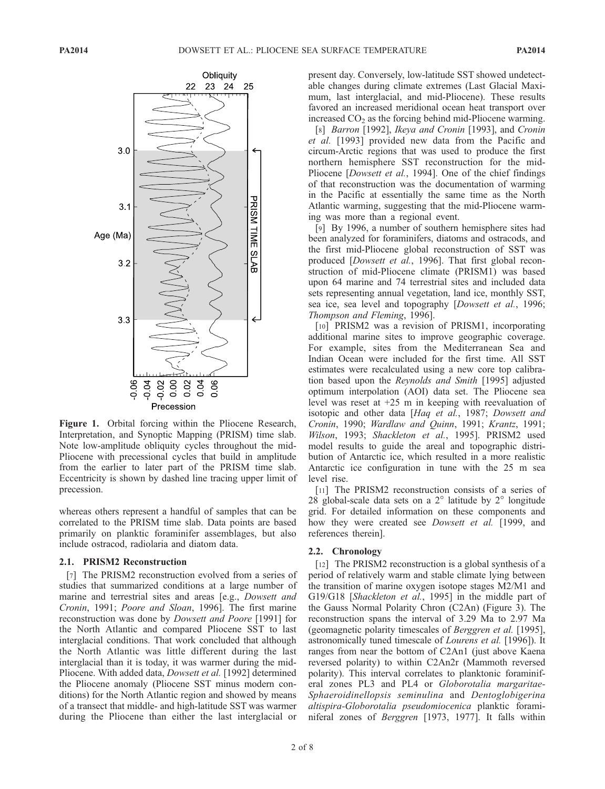

Figure 1. Orbital forcing within the Pliocene Research, Interpretation, and Synoptic Mapping (PRISM) time slab. Note low-amplitude obliquity cycles throughout the mid-Pliocene with precessional cycles that build in amplitude from the earlier to later part of the PRISM time slab. Eccentricity is shown by dashed line tracing upper limit of precession.

whereas others represent a handful of samples that can be correlated to the PRISM time slab. Data points are based primarily on planktic foraminifer assemblages, but also include ostracod, radiolaria and diatom data.

#### 2.1. PRISM2 Reconstruction

[7] The PRISM2 reconstruction evolved from a series of studies that summarized conditions at a large number of marine and terrestrial sites and areas [e.g., Dowsett and Cronin, 1991; Poore and Sloan, 1996]. The first marine reconstruction was done by Dowsett and Poore [1991] for the North Atlantic and compared Pliocene SST to last interglacial conditions. That work concluded that although the North Atlantic was little different during the last interglacial than it is today, it was warmer during the mid-Pliocene. With added data, Dowsett et al. [1992] determined the Pliocene anomaly (Pliocene SST minus modern conditions) for the North Atlantic region and showed by means of a transect that middle- and high-latitude SST was warmer during the Pliocene than either the last interglacial or

present day. Conversely, low-latitude SST showed undetectable changes during climate extremes (Last Glacial Maximum, last interglacial, and mid-Pliocene). These results favored an increased meridional ocean heat transport over increased  $CO<sub>2</sub>$  as the forcing behind mid-Pliocene warming.

[8] Barron [1992], Ikeya and Cronin [1993], and Cronin et al. [1993] provided new data from the Pacific and circum-Arctic regions that was used to produce the first northern hemisphere SST reconstruction for the mid-Pliocene [*Dowsett et al.*, 1994]. One of the chief findings of that reconstruction was the documentation of warming in the Pacific at essentially the same time as the North Atlantic warming, suggesting that the mid-Pliocene warming was more than a regional event.

[9] By 1996, a number of southern hemisphere sites had been analyzed for foraminifers, diatoms and ostracods, and the first mid-Pliocene global reconstruction of SST was produced [Dowsett et al., 1996]. That first global reconstruction of mid-Pliocene climate (PRISM1) was based upon 64 marine and 74 terrestrial sites and included data sets representing annual vegetation, land ice, monthly SST, sea ice, sea level and topography [Dowsett et al., 1996; Thompson and Fleming, 1996].

[10] PRISM2 was a revision of PRISM1, incorporating additional marine sites to improve geographic coverage. For example, sites from the Mediterranean Sea and Indian Ocean were included for the first time. All SST estimates were recalculated using a new core top calibration based upon the Reynolds and Smith [1995] adjusted optimum interpolation (AOI) data set. The Pliocene sea level was reset at +25 m in keeping with reevaluation of isotopic and other data [Haq et al., 1987; Dowsett and Cronin, 1990; Wardlaw and Quinn, 1991; Krantz, 1991; Wilson, 1993; Shackleton et al., 1995]. PRISM2 used model results to guide the areal and topographic distribution of Antarctic ice, which resulted in a more realistic Antarctic ice configuration in tune with the 25 m sea level rise.

[11] The PRISM2 reconstruction consists of a series of 28 global-scale data sets on a  $2^{\circ}$  latitude by  $2^{\circ}$  longitude grid. For detailed information on these components and how they were created see Dowsett et al. [1999, and references therein].

#### 2.2. Chronology

[12] The PRISM2 reconstruction is a global synthesis of a period of relatively warm and stable climate lying between the transition of marine oxygen isotope stages M2/M1 and G19/G18 [Shackleton et al., 1995] in the middle part of the Gauss Normal Polarity Chron (C2An) (Figure 3). The reconstruction spans the interval of 3.29 Ma to 2.97 Ma (geomagnetic polarity timescales of Berggren et al. [1995], astronomically tuned timescale of Lourens et al. [1996]). It ranges from near the bottom of C2An1 (just above Kaena reversed polarity) to within C2An2r (Mammoth reversed polarity). This interval correlates to planktonic foraminiferal zones PL3 and PL4 or Globorotalia margaritae-Sphaeroidinellopsis seminulina and Dentoglobigerina altispira-Globorotalia pseudomiocenica planktic foraminiferal zones of Berggren [1973, 1977]. It falls within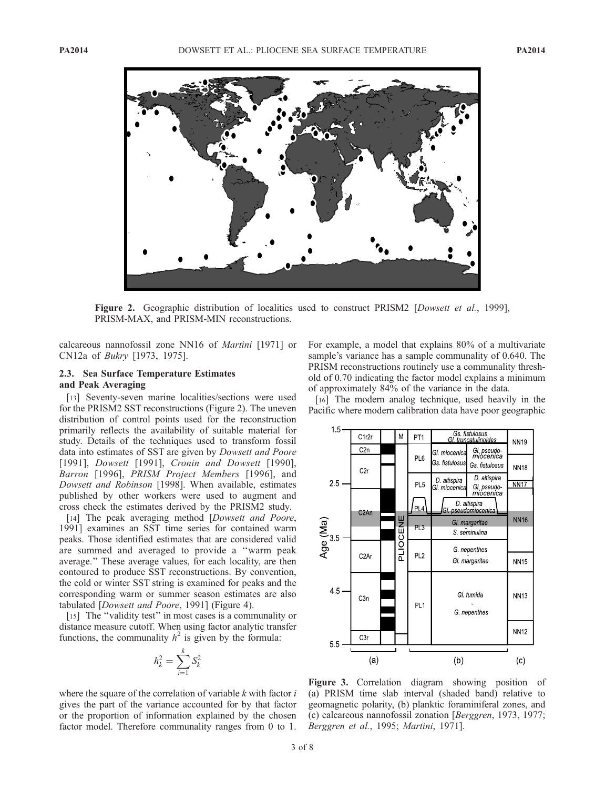

Figure 2. Geographic distribution of localities used to construct PRISM2 [Dowsett et al., 1999], PRISM-MAX, and PRISM-MIN reconstructions.

calcareous nannofossil zone NN16 of Martini [1971] or CN12a of Bukry [1973, 1975].

# 2.3. Sea Surface Temperature Estimates and Peak Averaging

[13] Seventy-seven marine localities/sections were used for the PRISM2 SST reconstructions (Figure 2). The uneven distribution of control points used for the reconstruction primarily reflects the availability of suitable material for study. Details of the techniques used to transform fossil data into estimates of SST are given by Dowsett and Poore [1991], *Dowsett* [1991], *Cronin and Dowsett* [1990], Barron [1996], PRISM Project Members [1996], and Dowsett and Robinson [1998]. When available, estimates published by other workers were used to augment and cross check the estimates derived by the PRISM2 study.

[14] The peak averaging method [*Dowsett and Poore*, 1991] examines an SST time series for contained warm peaks. Those identified estimates that are considered valid are summed and averaged to provide a ''warm peak average.'' These average values, for each locality, are then contoured to produce SST reconstructions. By convention, the cold or winter SST string is examined for peaks and the corresponding warm or summer season estimates are also tabulated [Dowsett and Poore, 1991] (Figure 4).

[15] The "validity test" in most cases is a communality or distance measure cutoff. When using factor analytic transfer functions, the communality  $h^2$  is given by the formula:

$$
h_k^2 = \sum_{i=1}^k S_k^2
$$

where the square of the correlation of variable  $k$  with factor  $i$ gives the part of the variance accounted for by that factor or the proportion of information explained by the chosen factor model. Therefore communality ranges from 0 to 1.

For example, a model that explains 80% of a multivariate sample's variance has a sample communality of 0.640. The PRISM reconstructions routinely use a communality threshold of 0.70 indicating the factor model explains a minimum of approximately 84% of the variance in the data.

[16] The modern analog technique, used heavily in the Pacific where modern calibration data have poor geographic



Figure 3. Correlation diagram showing position of (a) PRISM time slab interval (shaded band) relative to geomagnetic polarity, (b) planktic foraminiferal zones, and (c) calcareous nannofossil zonation [Berggren, 1973, 1977; Berggren et al., 1995; Martini, 1971].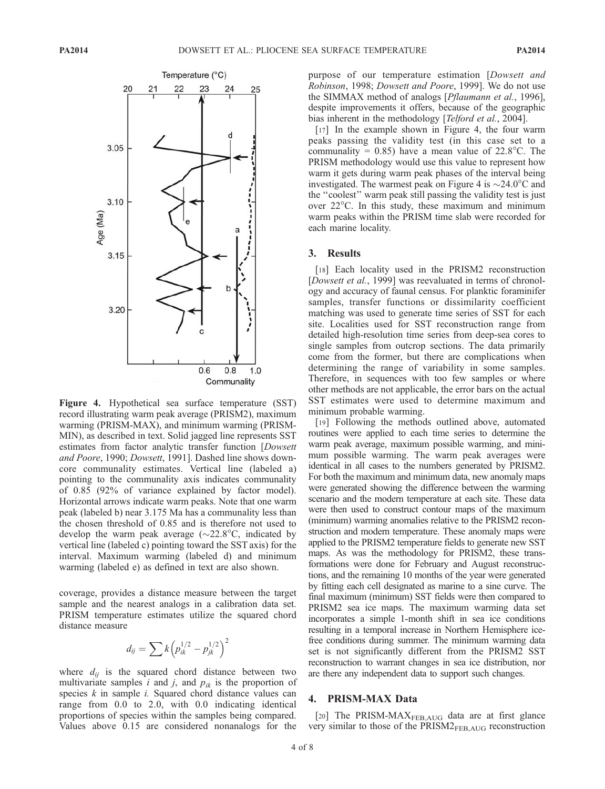

Figure 4. Hypothetical sea surface temperature (SST) record illustrating warm peak average (PRISM2), maximum warming (PRISM-MAX), and minimum warming (PRISM-MIN), as described in text. Solid jagged line represents SST estimates from factor analytic transfer function [Dowsett and Poore, 1990; Dowsett, 1991]. Dashed line shows downcore communality estimates. Vertical line (labeled a) pointing to the communality axis indicates communality of 0.85 (92% of variance explained by factor model). Horizontal arrows indicate warm peaks. Note that one warm peak (labeled b) near 3.175 Ma has a communality less than the chosen threshold of 0.85 and is therefore not used to develop the warm peak average ( $\sim$ 22.8°C, indicated by vertical line (labeled c) pointing toward the SST axis) for the interval. Maximum warming (labeled d) and minimum warming (labeled e) as defined in text are also shown.

coverage, provides a distance measure between the target sample and the nearest analogs in a calibration data set. PRISM temperature estimates utilize the squared chord distance measure

$$
d_{ij} = \sum k \left( p_{ik}^{1/2} - p_{jk}^{1/2} \right)^2
$$

where  $d_{ij}$  is the squared chord distance between two multivariate samples i and j, and  $p_{ik}$  is the proportion of species  $k$  in sample  $i$ . Squared chord distance values can range from 0.0 to 2.0, with 0.0 indicating identical proportions of species within the samples being compared. Values above 0.15 are considered nonanalogs for the

purpose of our temperature estimation [Dowsett and Robinson, 1998; Dowsett and Poore, 1999]. We do not use the SIMMAX method of analogs [Pflaumann et al., 1996], despite improvements it offers, because of the geographic bias inherent in the methodology [Telford et al., 2004].

[17] In the example shown in Figure 4, the four warm peaks passing the validity test (in this case set to a communality = 0.85) have a mean value of  $22.8^{\circ}$ C. The PRISM methodology would use this value to represent how warm it gets during warm peak phases of the interval being investigated. The warmest peak on Figure 4 is  $\sim$ 24.0°C and the ''coolest'' warm peak still passing the validity test is just over  $22^{\circ}$ C. In this study, these maximum and minimum warm peaks within the PRISM time slab were recorded for each marine locality.

# 3. Results

[18] Each locality used in the PRISM2 reconstruction [Dowsett et al., 1999] was reevaluated in terms of chronology and accuracy of faunal census. For planktic foraminifer samples, transfer functions or dissimilarity coefficient matching was used to generate time series of SST for each site. Localities used for SST reconstruction range from detailed high-resolution time series from deep-sea cores to single samples from outcrop sections. The data primarily come from the former, but there are complications when determining the range of variability in some samples. Therefore, in sequences with too few samples or where other methods are not applicable, the error bars on the actual SST estimates were used to determine maximum and minimum probable warming.

[19] Following the methods outlined above, automated routines were applied to each time series to determine the warm peak average, maximum possible warming, and minimum possible warming. The warm peak averages were identical in all cases to the numbers generated by PRISM2. For both the maximum and minimum data, new anomaly maps were generated showing the difference between the warming scenario and the modern temperature at each site. These data were then used to construct contour maps of the maximum (minimum) warming anomalies relative to the PRISM2 reconstruction and modern temperature. These anomaly maps were applied to the PRISM2 temperature fields to generate new SST maps. As was the methodology for PRISM2, these transformations were done for February and August reconstructions, and the remaining 10 months of the year were generated by fitting each cell designated as marine to a sine curve. The final maximum (minimum) SST fields were then compared to PRISM2 sea ice maps. The maximum warming data set incorporates a simple 1-month shift in sea ice conditions resulting in a temporal increase in Northern Hemisphere icefree conditions during summer. The minimum warming data set is not significantly different from the PRISM2 SST reconstruction to warrant changes in sea ice distribution, nor are there any independent data to support such changes.

# 4. PRISM-MAX Data

[20] The PRISM-MAXFEB, AUG data are at first glance very similar to those of the PRISM2<sub>FEB,AUG</sub> reconstruction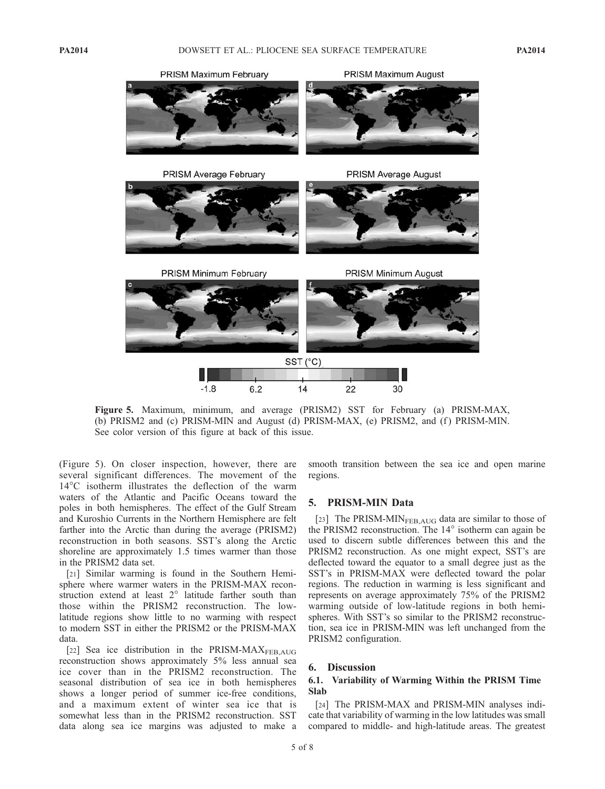

Figure 5. Maximum, minimum, and average (PRISM2) SST for February (a) PRISM-MAX, (b) PRISM2 and (c) PRISM-MIN and August (d) PRISM-MAX, (e) PRISM2, and (f) PRISM-MIN. See color version of this figure at back of this issue.

(Figure 5). On closer inspection, however, there are several significant differences. The movement of the  $14^{\circ}$ C isotherm illustrates the deflection of the warm waters of the Atlantic and Pacific Oceans toward the poles in both hemispheres. The effect of the Gulf Stream and Kuroshio Currents in the Northern Hemisphere are felt farther into the Arctic than during the average (PRISM2) reconstruction in both seasons. SST's along the Arctic shoreline are approximately 1.5 times warmer than those in the PRISM2 data set.

[21] Similar warming is found in the Southern Hemisphere where warmer waters in the PRISM-MAX reconstruction extend at least 2° latitude farther south than those within the PRISM2 reconstruction. The lowlatitude regions show little to no warming with respect to modern SST in either the PRISM2 or the PRISM-MAX data.

[22] Sea ice distribution in the PRISM-MAXFEB, AUG reconstruction shows approximately 5% less annual sea ice cover than in the PRISM2 reconstruction. The seasonal distribution of sea ice in both hemispheres shows a longer period of summer ice-free conditions, and a maximum extent of winter sea ice that is somewhat less than in the PRISM2 reconstruction. SST data along sea ice margins was adjusted to make a

smooth transition between the sea ice and open marine regions.

# 5. PRISM-MIN Data

[23] The PRISM-MIN $_{\text{FEB,AUG}}$  data are similar to those of the PRISM2 reconstruction. The  $14^{\circ}$  isotherm can again be used to discern subtle differences between this and the PRISM2 reconstruction. As one might expect, SST's are deflected toward the equator to a small degree just as the SST's in PRISM-MAX were deflected toward the polar regions. The reduction in warming is less significant and represents on average approximately 75% of the PRISM2 warming outside of low-latitude regions in both hemispheres. With SST's so similar to the PRISM2 reconstruction, sea ice in PRISM-MIN was left unchanged from the PRISM2 configuration.

### 6. Discussion

# 6.1. Variability of Warming Within the PRISM Time Slab

[24] The PRISM-MAX and PRISM-MIN analyses indicate that variability of warming in the low latitudes was small compared to middle- and high-latitude areas. The greatest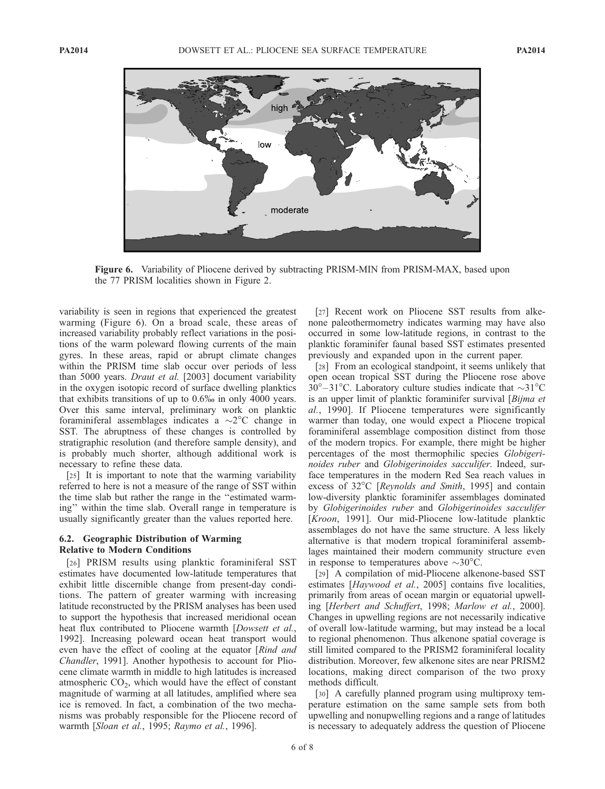

Figure 6. Variability of Pliocene derived by subtracting PRISM-MIN from PRISM-MAX, based upon the 77 PRISM localities shown in Figure 2.

variability is seen in regions that experienced the greatest warming (Figure 6). On a broad scale, these areas of increased variability probably reflect variations in the positions of the warm poleward flowing currents of the main gyres. In these areas, rapid or abrupt climate changes within the PRISM time slab occur over periods of less than 5000 years. Draut et al. [2003] document variability in the oxygen isotopic record of surface dwelling planktics that exhibits transitions of up to 0.6% in only 4000 years. Over this same interval, preliminary work on planktic foraminiferal assemblages indicates a  $\sim$ 2 $\degree$ C change in SST. The abruptness of these changes is controlled by stratigraphic resolution (and therefore sample density), and is probably much shorter, although additional work is necessary to refine these data.

[25] It is important to note that the warming variability referred to here is not a measure of the range of SST within the time slab but rather the range in the ''estimated warming'' within the time slab. Overall range in temperature is usually significantly greater than the values reported here.

#### 6.2. Geographic Distribution of Warming Relative to Modern Conditions

[26] PRISM results using planktic foraminiferal SST estimates have documented low-latitude temperatures that exhibit little discernible change from present-day conditions. The pattern of greater warming with increasing latitude reconstructed by the PRISM analyses has been used to support the hypothesis that increased meridional ocean heat flux contributed to Pliocene warmth [*Dowsett et al.*, 1992]. Increasing poleward ocean heat transport would even have the effect of cooling at the equator [Rind and Chandler, 1991]. Another hypothesis to account for Pliocene climate warmth in middle to high latitudes is increased atmospheric  $CO<sub>2</sub>$ , which would have the effect of constant magnitude of warming at all latitudes, amplified where sea ice is removed. In fact, a combination of the two mechanisms was probably responsible for the Pliocene record of warmth [Sloan et al., 1995; Raymo et al., 1996].

[27] Recent work on Pliocene SST results from alkenone paleothermometry indicates warming may have also occurred in some low-latitude regions, in contrast to the planktic foraminifer faunal based SST estimates presented previously and expanded upon in the current paper.

[28] From an ecological standpoint, it seems unlikely that open ocean tropical SST during the Pliocene rose above  $30^{\circ} - 31^{\circ}$ C. Laboratory culture studies indicate that  $\sim$ 31°C is an upper limit of planktic foraminifer survival [Bijma et al., 1990]. If Pliocene temperatures were significantly warmer than today, one would expect a Pliocene tropical foraminiferal assemblage composition distinct from those of the modern tropics. For example, there might be higher percentages of the most thermophilic species Globigerinoides ruber and Globigerinoides sacculifer. Indeed, surface temperatures in the modern Red Sea reach values in excess of  $32^{\circ}$ C [*Reynolds and Smith*, 1995] and contain low-diversity planktic foraminifer assemblages dominated by Globigerinoides ruber and Globigerinoides sacculifer [Kroon, 1991]. Our mid-Pliocene low-latitude planktic assemblages do not have the same structure. A less likely alternative is that modern tropical foraminiferal assemblages maintained their modern community structure even in response to temperatures above  $\sim$ 30 $^{\circ}$ C.

[29] A compilation of mid-Pliocene alkenone-based SST estimates [Haywood et al., 2005] contains five localities, primarily from areas of ocean margin or equatorial upwelling [Herbert and Schuffert, 1998; Marlow et al., 2000]. Changes in upwelling regions are not necessarily indicative of overall low-latitude warming, but may instead be a local to regional phenomenon. Thus alkenone spatial coverage is still limited compared to the PRISM2 foraminiferal locality distribution. Moreover, few alkenone sites are near PRISM2 locations, making direct comparison of the two proxy methods difficult.

[30] A carefully planned program using multiproxy temperature estimation on the same sample sets from both upwelling and nonupwelling regions and a range of latitudes is necessary to adequately address the question of Pliocene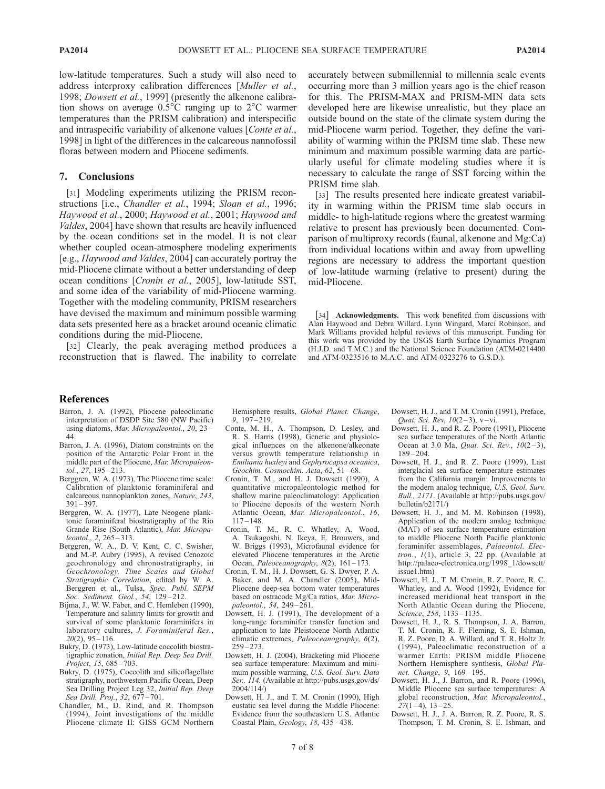low-latitude temperatures. Such a study will also need to address interproxy calibration differences [Muller et al., 1998; *Dowsett et al.*, 1999] (presently the alkenone calibration shows on average  $0.5^{\circ}$ C ranging up to  $2^{\circ}$ C warmer temperatures than the PRISM calibration) and interspecific and intraspecific variability of alkenone values [Conte et al., 1998] in light of the differences in the calcareous nannofossil floras between modern and Pliocene sediments.

#### 7. Conclusions

[31] Modeling experiments utilizing the PRISM reconstructions [i.e., Chandler et al., 1994; Sloan et al., 1996; Haywood et al., 2000; Haywood et al., 2001; Haywood and Valdes, 2004] have shown that results are heavily influenced by the ocean conditions set in the model. It is not clear whether coupled ocean-atmosphere modeling experiments [e.g., Haywood and Valdes, 2004] can accurately portray the mid-Pliocene climate without a better understanding of deep ocean conditions [Cronin et al., 2005], low-latitude SST, and some idea of the variability of mid-Pliocene warming. Together with the modeling community, PRISM researchers have devised the maximum and minimum possible warming data sets presented here as a bracket around oceanic climatic conditions during the mid-Pliocene.

[32] Clearly, the peak averaging method produces a reconstruction that is flawed. The inability to correlate accurately between submillennial to millennia scale events occurring more than 3 million years ago is the chief reason for this. The PRISM-MAX and PRISM-MIN data sets developed here are likewise unrealistic, but they place an outside bound on the state of the climate system during the mid-Pliocene warm period. Together, they define the variability of warming within the PRISM time slab. These new minimum and maximum possible warming data are particularly useful for climate modeling studies where it is necessary to calculate the range of SST forcing within the PRISM time slab.

[33] The results presented here indicate greatest variability in warming within the PRISM time slab occurs in middle- to high-latitude regions where the greatest warming relative to present has previously been documented. Comparison of multiproxy records (faunal, alkenone and Mg:Ca) from individual locations within and away from upwelling regions are necessary to address the important question of low-latitude warming (relative to present) during the mid-Pliocene.

[34] Acknowledgments. This work benefited from discussions with Alan Haywood and Debra Willard. Lynn Wingard, Marci Robinson, and Mark Williams provided helpful reviews of this manuscript. Funding for this work was provided by the USGS Earth Surface Dynamics Program (H.J.D. and T.M.C.) and the National Science Foundation (ATM-0214400 and ATM-0323516 to M.A.C. and ATM-0323276 to G.S.D.).

#### References

- Barron, J. A. (1992), Pliocene paleoclimatic interpretation of DSDP Site 580 (NW Pacific) using diatoms, Mar. Micropaleontol., 20, 23-44.
- Barron, J. A. (1996), Diatom constraints on the position of the Antarctic Polar Front in the middle part of the Pliocene, Mar. Micropaleontol., 27, 195 – 213.
- Berggren, W. A. (1973), The Pliocene time scale: Calibration of planktonic foraminiferal and calcareous nannoplankton zones, Nature, 243, 391 – 397.
- Berggren, W. A. (1977), Late Neogene planktonic foraminiferal biostratigraphy of the Rio Grande Rise (South Atlantic), Mar. Micropaleontol., 2, 265 – 313.
- Berggren, W. A., D. V. Kent, C. C. Swisher, and M.-P. Aubry (1995), A revised Cenozoic geochronology and chronostratigraphy, in Geochronology, Time Scales and Global Stratigraphic Correlation, edited by W. A. Berggren et al., Tulsa, Spec. Publ. SEPM Soc. Sediment. Geol., 54, 129-212.
- Bijma, J., W. W. Faber, and C. Hemleben (1990), Temperature and salinity limits for growth and survival of some planktonic foraminifers in laboratory cultures, J. Foraminiferal Res.,  $20(2)$ , 95 – 116.
- Bukry, D. (1973), Low-latitude coccolith biostratigraphic zonation, Initial Rep. Deep Sea Drill. Project, 15, 685-703.
- Bukry, D. (1975), Coccolith and silicoflagellate stratigraphy, northwestern Pacific Ocean, Deep Sea Drilling Project Leg 32, Initial Rep. Deep Sea Drill. Proj., 32, 677 – 701.
- Chandler, M., D. Rind, and R. Thompson (1994), Joint investigations of the middle Pliocene climate II: GISS GCM Northern

Hemisphere results, Global Planet. Change, 9, 197 – 219.

- Conte, M. H., A. Thompson, D. Lesley, and R. S. Harris (1998), Genetic and physiological influences on the alkenone/alkeonate versus growth temperature relationship in Emiliania huxleyi and Gephyrocapsa oceanica, Geochim. Cosmochim. Acta, 62, 51-68.
- Cronin, T. M., and H. J. Dowsett (1990), A quantitative micropaleontologic method for shallow marine paleoclimatology: Application to Pliocene deposits of the western North Atlantic Ocean, Mar. Micropaleontol., 16,  $117 - 148.$
- Cronin, T. M., R. C. Whatley, A. Wood, A. Tsukagoshi, N. Ikeya, E. Brouwers, and W. Briggs (1993), Microfaunal evidence for elevated Pliocene temperatures in the Arctic Ocean, Paleoceanography,  $8(2)$ ,  $161-173$ .
- Cronin, T. M., H. J. Dowsett, G. S. Dwyer, P. A. Baker, and M. A. Chandler (2005), Mid-Pliocene deep-sea bottom water temperatures based on ostracode Mg/Ca ratios, Mar. Micropaleontol., 54, 249 – 261.
- Dowsett, H. J. (1991), The development of a long-range foraminifer transfer function and application to late Pleistocene North Atlantic climatic extremes, Paleoceanography, 6(2),  $259 - 273$
- Dowsett, H. J. (2004), Bracketing mid Pliocene sea surface temperature: Maximum and minimum possible warming, U.S. Geol. Surv. Data Ser., 114. (Available at http://pubs.usgs.gov/ds/ 2004/114/)
- Dowsett, H. J., and T. M. Cronin (1990), High eustatic sea level during the Middle Pliocene: Evidence from the southeastern U.S. Atlantic Coastal Plain, Geology, 18, 435 – 438.
- Dowsett, H. J., and T. M. Cronin (1991), Preface, Quat. Sci. Rev,  $10(2-3)$ , v-vi.
- Dowsett, H. J., and R. Z. Poore (1991), Pliocene sea surface temperatures of the North Atlantic Ocean at 3.0 Ma, Quat. Sci. Rev.,  $10(2-3)$ ,  $189 - 204$
- Dowsett, H. J., and R. Z. Poore (1999), Last interglacial sea surface temperature estimates from the California margin: Improvements to the modern analog technique, U.S. Geol. Surv. Bull., 2171. (Available at http://pubs.usgs.gov/ bulletin/b2171/)
- Dowsett, H. J., and M. M. Robinson (1998), Application of the modern analog technique (MAT) of sea surface temperature estimation to middle Pliocene North Pacific planktonic foraminifer assemblages, Palaeontol. Electron.,  $1(1)$ , article 3, 22 pp. (Available at http://palaeo-electronica.org/1998\_1/dowsett/ issue1.htm)
- Dowsett, H. J., T. M. Cronin, R. Z. Poore, R. C. Whatley, and A. Wood (1992), Evidence for increased meridional heat transport in the North Atlantic Ocean during the Pliocene, Science, 258, 1133-1135.
- Dowsett, H. J., R. S. Thompson, J. A. Barron, T. M. Cronin, R. F. Fleming, S. E. Ishman, R. Z. Poore, D. A. Willard, and T. R. Holtz Jr. (1994), Paleoclimatic reconstruction of a warmer Earth: PRISM middle Pliocene Northern Hemisphere synthesis, Global Planet. Change, 9, 169 – 195.
- Dowsett, H. J., J. Barron, and R. Poore (1996), Middle Pliocene sea surface temperatures: A global reconstruction, Mar. Micropaleontol.,  $27(1 - 4)$ ,  $13 - 25$ .
- Dowsett, H. J., J. A. Barron, R. Z. Poore, R. S. Thompson, T. M. Cronin, S. E. Ishman, and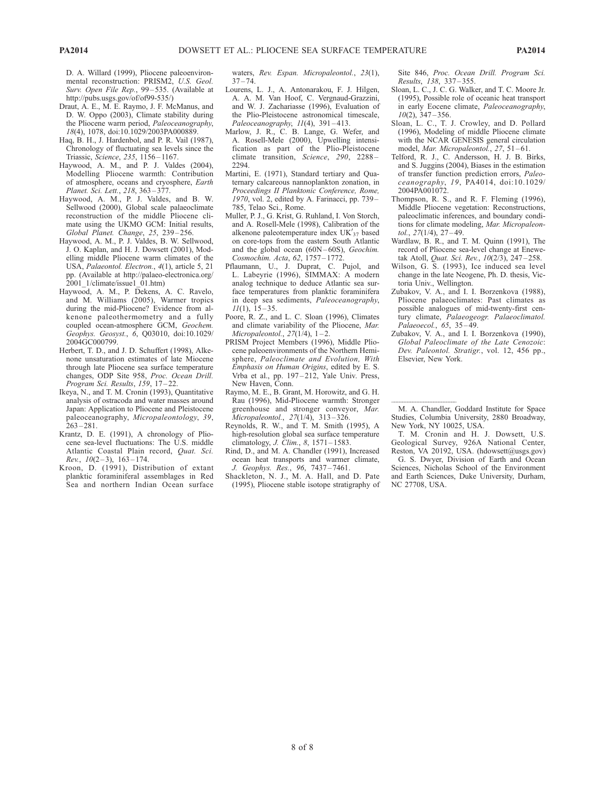D. A. Willard (1999), Pliocene paleoenvironmental reconstruction: PRISM2, U.S. Geol. Surv. Open File Rep., 99-535. (Available at http://pubs.usgs.gov/of/of99-535/)

- Draut, A. E., M. E. Raymo, J. F. McManus, and D. W. Oppo (2003), Climate stability during the Pliocene warm period, Paleoceanography, 18(4), 1078, doi:10.1029/2003PA000889.
- Haq, B. H., J. Hardenbol, and P. R. Vail (1987), Chronology of fluctuating sea levels since the Triassic, Science, 235, 1156-1167.
- Haywood, A. M., and P. J. Valdes (2004), Modelling Pliocene warmth: Contribution of atmosphere, oceans and cryosphere, Earth Planet. Sci. Lett., 218, 363 – 377.
- Haywood, A. M., P. J. Valdes, and B. W. Sellwood (2000), Global scale palaeoclimate reconstruction of the middle Pliocene climate using the UKMO GCM: Initial results, Global Planet. Change, 25, 239 – 256.
- Haywood, A. M., P. J. Valdes, B. W. Sellwood, J. O. Kaplan, and H. J. Dowsett (2001), Modelling middle Pliocene warm climates of the USA, Palaeontol. Electron., 4(1), article 5, 21 pp. (Available at http://palaeo-electronica.org/ 2001\_1/climate/issue1\_01.htm)
- Haywood, A. M., P. Dekens, A. C. Ravelo, and M. Williams (2005), Warmer tropics during the mid-Pliocene? Evidence from alkenone paleothermometry and a fully coupled ocean-atmosphere GCM, Geochem. Geophys. Geosyst., 6, Q03010, doi:10.1029/ 2004GC000799.
- Herbert, T. D., and J. D. Schuffert (1998), Alkenone unsaturation estimates of late Miocene through late Pliocene sea surface temperature changes, ODP Site 958, Proc. Ocean Drill. Program Sci. Results, 159, 17-22.
- Ikeya, N., and T. M. Cronin (1993), Quantitative analysis of ostracoda and water masses around Japan: Application to Pliocene and Pleistocene paleoceanography, Micropaleontology, 39,  $263 - 281$
- Krantz, D. E. (1991), A chronology of Pliocene sea-level fluctuations: The U.S. middle Atlantic Coastal Plain record, Quat. Sci.  $Rev.$ ,  $10(2-3)$ ,  $163-174$ .
- Kroon, D. (1991), Distribution of extant planktic foraminiferal assemblages in Red Sea and northern Indian Ocean surface

waters, Rev. Espan. Micropaleontol., 23(1),  $37 - 74.$ 

- Lourens, L. J., A. Antonarakou, F. J. Hilgen, A. A. M. Van Hoof, C. Vergnaud-Grazzini, and W. J. Zachariasse (1996), Evaluation of the Plio-Pleistocene astronomical timescale, Paleoceanography,  $11(4)$ , 391-413.
- Marlow, J. R., C. B. Lange, G. Wefer, and A. Rosell-Mele (2000), Upwelling intensification as part of the Plio-Pleistocene climate transition, Science, 290, 2288 – 2294.
- Martini, E. (1971), Standard tertiary and Quaternary calcareous nannoplankton zonation, in Proceedings II Planktonic Conference, Rome, 1970, vol. 2, edited by A. Farinacci, pp. 739 – 785, Telao Sci., Rome.
- Muller, P. J., G. Krist, G. Ruhland, I. Von Storch, and A. Rosell-Mele (1998), Calibration of the alkenone paleotemperature index  $UK'_{37}$  based on core-tops from the eastern South Atlantic and the global ocean  $(60N-60S)$ , Geochim. Cosmochim. Acta, 62, 1757-1772
- Pflaumann, U., J. Duprat, C. Pujol, and L. Labeyrie (1996), SIMMAX: A modern analog technique to deduce Atlantic sea surface temperatures from planktic foraminifera in deep sea sediments, Paleoceanography,  $11(1)$ , 15 – 35.
- Poore, R. Z., and L. C. Sloan (1996), Climates and climate variability of the Pliocene, Mar. Micropaleontol.,  $27(1/4)$ ,  $1-2$ .
- PRISM Project Members (1996), Middle Pliocene paleoenvironments of the Northern Hemisphere, Paleoclimate and Evolution, With Emphasis on Human Origins, edited by E. S. Vrba et al., pp. 197-212, Yale Univ. Press, New Haven, Conn.
- Raymo, M. E., B. Grant, M. Horowitz, and G. H. Rau (1996), Mid-Pliocene warmth: Stronger greenhouse and stronger conveyor, Mar. Micropaleontol., 27(1/4), 313-326.
- Reynolds, R. W., and T. M. Smith (1995), A high-resolution global sea surface temperature climatology, J. Clim., 8, 1571 – 1583.
- Rind, D., and M. A. Chandler (1991), Increased ocean heat transports and warmer climate, J. Geophys. Res., 96, 7437 – 7461.
- Shackleton, N. J., M. A. Hall, and D. Pate (1995), Pliocene stable isotope stratigraphy of

Site 846, Proc. Ocean Drill. Program Sci. Results, 138, 337 – 355.

- Sloan, L. C., J. C. G. Walker, and T. C. Moore Jr. (1995), Possible role of oceanic heat transport in early Eocene climate, Paleoceanography,  $10(2)$ ,  $347 - 356$ .
- Sloan, L. C., T. J. Crowley, and D. Pollard (1996), Modeling of middle Pliocene climate with the NCAR GENESIS general circulation model, Mar. Micropaleontol., 27, 51-61.
- Telford, R. J., C. Andersson, H. J. B. Birks, and S. Juggins (2004), Biases in the estimation of transfer function prediction errors, Paleoceanography, 19, PA4014, doi:10.1029/ 2004PA001072.
- Thompson, R. S., and R. F. Fleming (1996), Middle Pliocene vegetation: Reconstructions, paleoclimatic inferences, and boundary conditions for climate modeling, Mar. Micropaleontol., 27(1/4), 27-49.
- Wardlaw, B. R., and T. M. Quinn (1991), The record of Pliocene sea-level change at Enewetak Atoll, Quat. Sci. Rev.,  $10(2/3)$ ,  $247-258$ .
- Wilson, G. S. (1993), Ice induced sea level change in the late Neogene, Ph. D. thesis, Victoria Univ., Wellington.
- Zubakov, V. A., and I. I. Borzenkova (1988), Pliocene palaeoclimates: Past climates as possible analogues of mid-twenty-first century climate, Palaeogeogr. Palaeoclimatol. Palaeoecol., 65, 35-49.
- Zubakov, V. A., and I. I. Borzenkova (1990), Global Paleoclimate of the Late Cenozoic: Dev. Paleontol. Stratigr., vol. 12, 456 pp., Elsevier, New York.

<sup>-</sup>-M. A. Chandler, Goddard Institute for Space Studies, Columbia University, 2880 Broadway, New York, NY 10025, USA.

T. M. Cronin and H. J. Dowsett, U.S. Geological Survey, 926A National Center, Reston, VA 20192, USA. (hdowsett@usgs.gov)

G. S. Dwyer, Division of Earth and Ocean Sciences, Nicholas School of the Environment and Earth Sciences, Duke University, Durham, NC 27708, USA.